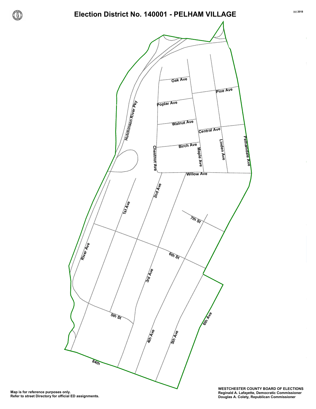

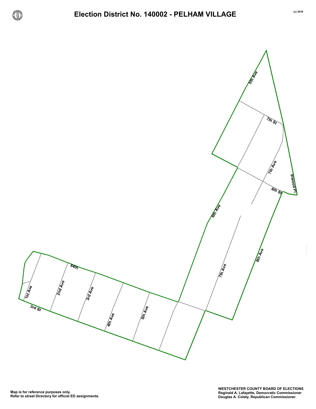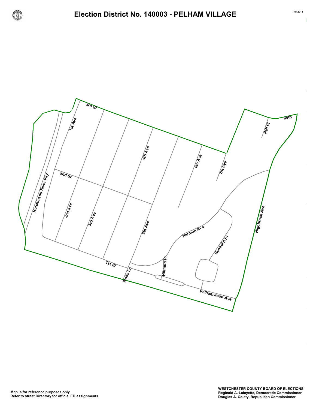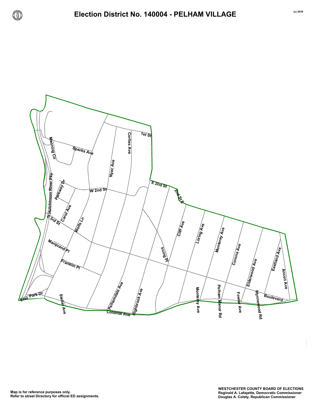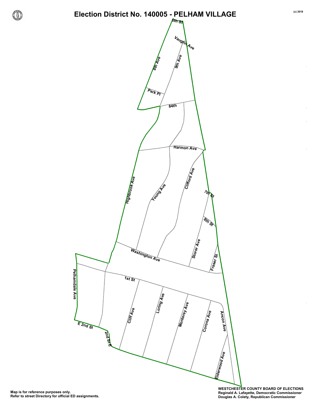**6th St**



**WESTCHESTER COUNTY BOARD OF ELECTIONS Reginald A. Lafayette, Democratic Commissioner Douglas A. Colety, Republican Commissioner**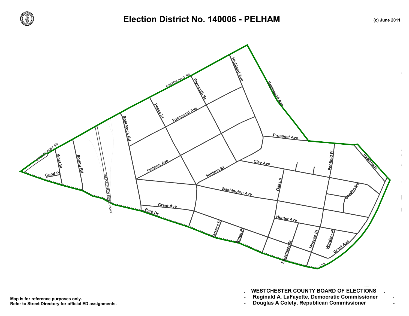



**. WESTCHESTER COUNTY BOARD OF ELECTIONS .**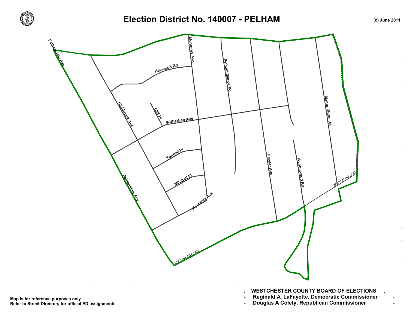

## Election District No. 140007 - PELHAM *(c) June 2011*



**Refer to Street Directory for official ED assignments.**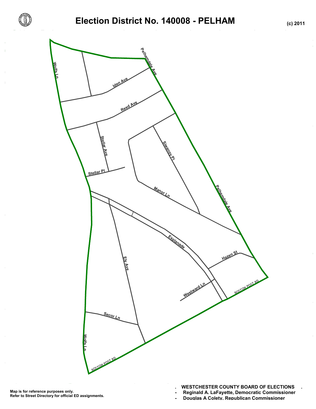



**- Reginald A. LaFayette, Democratic Commissioner -** - Douglas A Colety, Republican Commissioner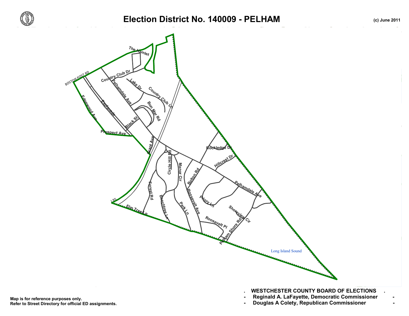





**Refer to Street Directory for official ED assignments.**